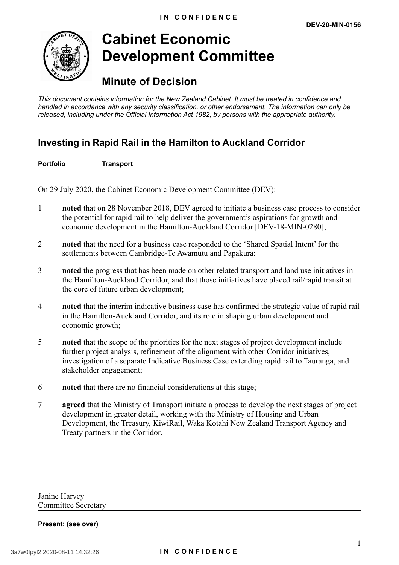

# **Cabinet Economic Development Committee**

## **Minute of Decision**

*This document contains information for the New Zealand Cabinet. It must be treated in confidence and handled in accordance with any security classification, or other endorsement. The information can only be released, including under the Official Information Act 1982, by persons with the appropriate authority.*

### **Investing in Rapid Rail in the Hamilton to Auckland Corridor**

### **Portfolio Transport**

On 29 July 2020, the Cabinet Economic Development Committee (DEV):

- 1 **noted** that on 28 November 2018, DEV agreed to initiate a business case process to consider the potential for rapid rail to help deliver the government's aspirations for growth and economic development in the Hamilton-Auckland Corridor [DEV-18-MIN-0280];
- 2 **noted** that the need for a business case responded to the 'Shared Spatial Intent' for the settlements between Cambridge-Te Awamutu and Papakura;
- 3 **noted** the progress that has been made on other related transport and land use initiatives in the Hamilton-Auckland Corridor, and that those initiatives have placed rail/rapid transit at the core of future urban development;
- 4 **noted** that the interim indicative business case has confirmed the strategic value of rapid rail in the Hamilton-Auckland Corridor, and its role in shaping urban development and economic growth;
- 5 **noted** that the scope of the priorities for the next stages of project development include further project analysis, refinement of the alignment with other Corridor initiatives, investigation of a separate Indicative Business Case extending rapid rail to Tauranga, and stakeholder engagement;
- 6 **noted** that there are no financial considerations at this stage;
- 7 **agreed** that the Ministry of Transport initiate a process to develop the next stages of project development in greater detail, working with the Ministry of Housing and Urban Development, the Treasury, KiwiRail, Waka Kotahi New Zealand Transport Agency and Treaty partners in the Corridor.

Janine Harvey Committee Secretary

#### **Present: (see over)**